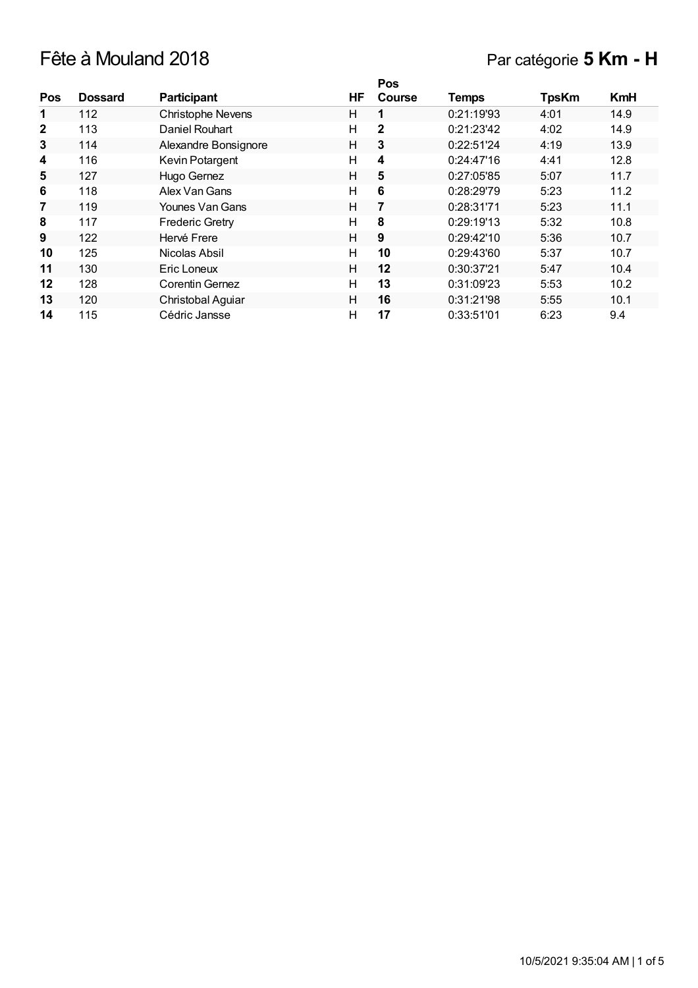# Fête à Mouland 2018 Par catégorie **5 Km - H**

|              |                |                        |    | Pos           |              |              |            |
|--------------|----------------|------------------------|----|---------------|--------------|--------------|------------|
| Pos          | <b>Dossard</b> | <b>Participant</b>     | ΗF | <b>Course</b> | <b>Temps</b> | <b>TpsKm</b> | <b>KmH</b> |
| 1            | 112            | Christophe Nevens      | н  |               | 0:21:19'93   | 4:01         | 14.9       |
| $\mathbf{2}$ | 113            | Daniel Rouhart         | н  | $\mathbf{2}$  | 0:21:23'42   | 4:02         | 14.9       |
| 3            | 114            | Alexandre Bonsignore   | H  | 3             | 0:22:51'24   | 4:19         | 13.9       |
| 4            | 116            | Kevin Potargent        | н  | 4             | 0:24:47'16   | 4:41         | 12.8       |
| 5            | 127            | Hugo Gernez            | н  | 5             | 0:27:05'85   | 5:07         | 11.7       |
| 6            | 118            | Alex Van Gans          | н  | 6             | 0:28:29'79   | 5:23         | 11.2       |
| 7            | 119            | Younes Van Gans        | Н  | 7             | 0:28:31'71   | 5:23         | 11.1       |
| 8            | 117            | <b>Frederic Gretry</b> | н  | 8             | 0:29:19'13   | 5:32         | 10.8       |
| 9            | 122            | Hervé Frere            | H  | 9             | 0:29:42'10   | 5:36         | 10.7       |
| 10           | 125            | Nicolas Absil          | H  | 10            | 0:29:43'60   | 5:37         | 10.7       |
| 11           | 130            | Eric Loneux            | H  | 12            | 0:30:37'21   | 5:47         | 10.4       |
| 12           | 128            | Corentin Gernez        | н  | 13            | 0:31:09'23   | 5:53         | 10.2       |
| 13           | 120            | Christobal Aguiar      | H  | 16            | 0:31:21'98   | 5:55         | 10.1       |
| 14           | 115            | Cédric Jansse          | н  | 17            | 0:33:51'01   | 6:23         | 9.4        |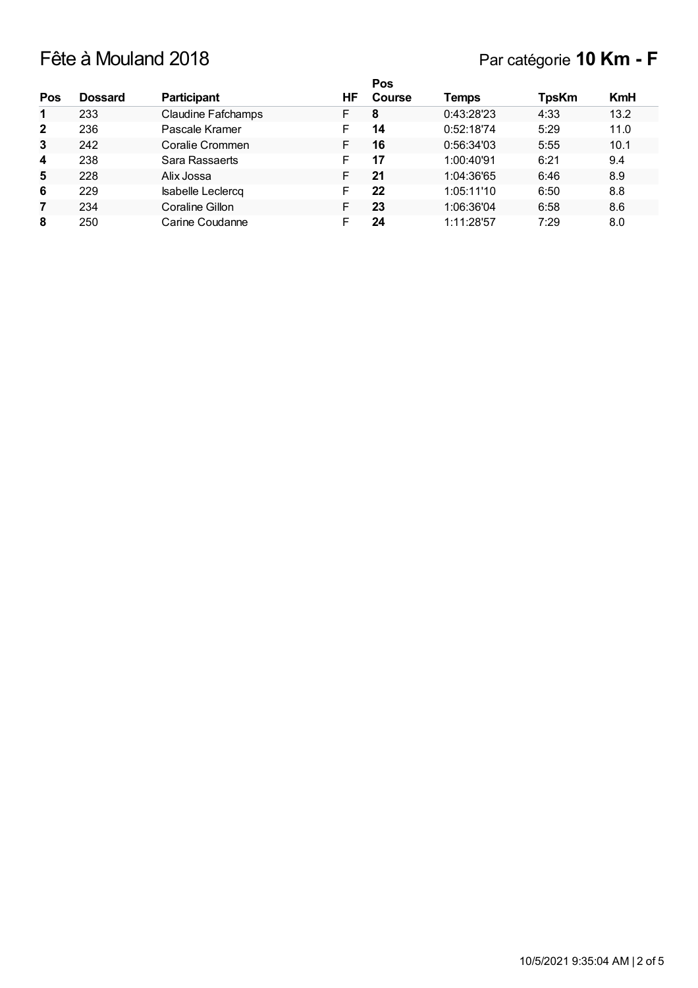## Fête à Mouland 2018 Par catégorie **10 Km - F**

|                |                |                           |    | <b>Pos</b>    |              |              |            |
|----------------|----------------|---------------------------|----|---------------|--------------|--------------|------------|
| Pos            | <b>Dossard</b> | <b>Participant</b>        | ΗF | <b>Course</b> | <b>Temps</b> | <b>TpsKm</b> | <b>KmH</b> |
| 1              | 233            | <b>Claudine Fafchamps</b> | F  | 8             | 0:43:28'23   | 4:33         | 13.2       |
| $\overline{2}$ | 236            | Pascale Kramer            |    | 14            | 0:52:18'74   | 5:29         | 11.0       |
| 3              | 242            | Coralie Crommen           |    | 16            | 0:56:34'03   | 5:55         | 10.1       |
| 4              | 238            | Sara Rassaerts            |    | 17            | 1:00:40'91   | 6:21         | 9.4        |
| 5              | 228            | Alix Jossa                |    | 21            | 1:04:36'65   | 6:46         | 8.9        |
| 6              | 229            | <b>Isabelle Leclercq</b>  | F  | 22            | 1:05:11'10   | 6:50         | 8.8        |
| 7              | 234            | Coraline Gillon           |    | 23            | 1:06:36'04   | 6:58         | 8.6        |
| 8              | 250            | Carine Coudanne           |    | 24            | 1:11:28'57   | 7:29         | 8.0        |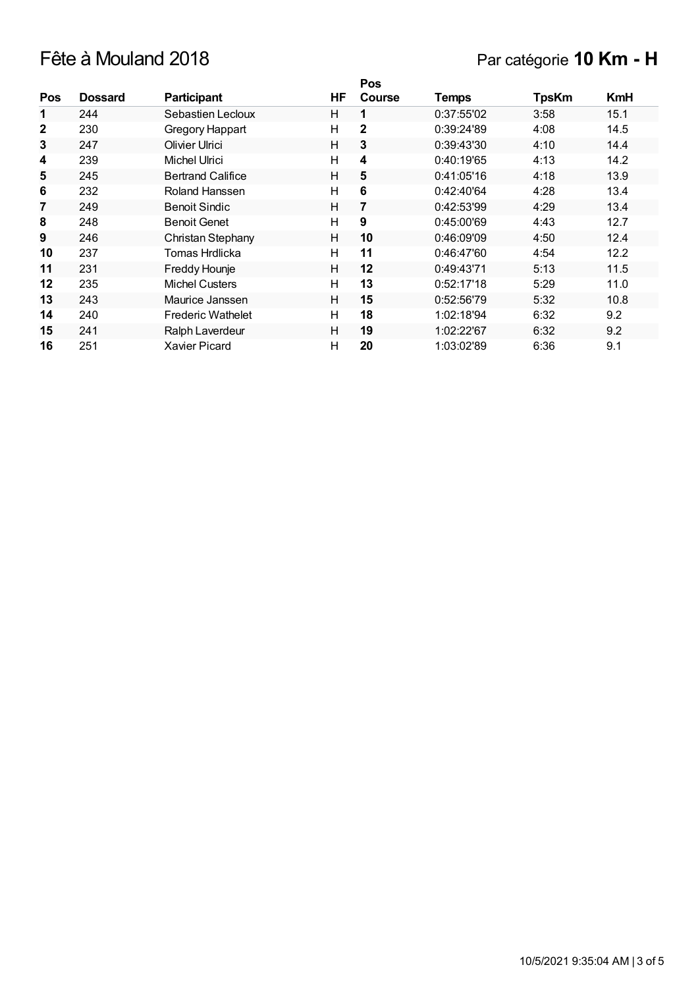## Fête à Mouland 2018 Par catégorie **10 Km - H**

|              |                |                          |    | Pos           |            |              |            |
|--------------|----------------|--------------------------|----|---------------|------------|--------------|------------|
| <b>Pos</b>   | <b>Dossard</b> | <b>Participant</b>       | HF | <b>Course</b> | Temps      | <b>TpsKm</b> | <b>KmH</b> |
| 1            | 244            | Sebastien Lecloux        | H  | 1             | 0:37:55'02 | 3:58         | 15.1       |
| $\mathbf{2}$ | 230            | Gregory Happart          | H  | 2             | 0:39:24'89 | 4:08         | 14.5       |
| 3            | 247            | Olivier Ulrici           | H  | 3             | 0:39:43'30 | 4:10         | 14.4       |
| 4            | 239            | Michel Ulrici            | H  | 4             | 0:40:19'65 | 4:13         | 14.2       |
| 5            | 245            | <b>Bertrand Califice</b> | H  | 5             | 0:41:05'16 | 4:18         | 13.9       |
| 6            | 232            | Roland Hanssen           | H  | 6             | 0:42:40'64 | 4:28         | 13.4       |
| 7            | 249            | <b>Benoit Sindic</b>     | Н  | 7             | 0:42:53'99 | 4:29         | 13.4       |
| 8            | 248            | <b>Benoit Genet</b>      | H  | 9             | 0:45:00'69 | 4:43         | 12.7       |
| 9            | 246            | Christan Stephany        | H  | 10            | 0:46:09'09 | 4:50         | 12.4       |
| 10           | 237            | Tomas Hrdlicka           | H  | 11            | 0:46:47'60 | 4:54         | 12.2       |
| 11           | 231            | Freddy Hounje            | H  | 12            | 0:49:43'71 | 5:13         | 11.5       |
| 12           | 235            | <b>Michel Custers</b>    | H  | 13            | 0:52:17'18 | 5:29         | 11.0       |
| 13           | 243            | Maurice Janssen          | H  | 15            | 0:52:56'79 | 5:32         | 10.8       |
| 14           | 240            | <b>Frederic Wathelet</b> | H  | 18            | 1:02:18'94 | 6:32         | 9.2        |
| 15           | 241            | Ralph Laverdeur          | H  | 19            | 1:02:22'67 | 6:32         | 9.2        |
| 16           | 251            | <b>Xavier Picard</b>     | H  | 20            | 1:03:02'89 | 6:36         | 9.1        |